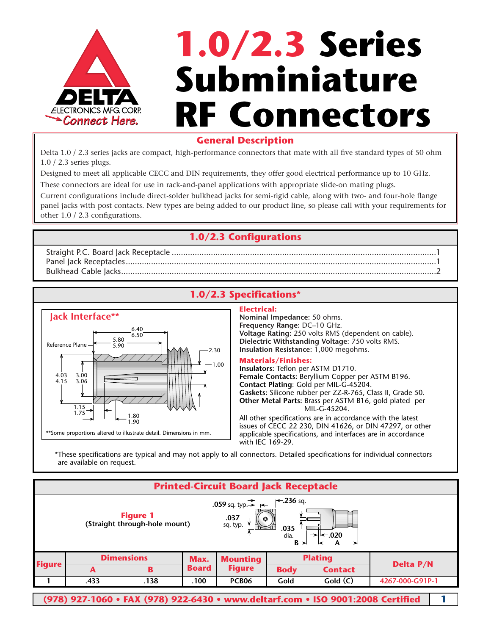

# **1.0/2.3 Series Subminiature RF Connectors**

### **General Description**

Delta 1.0 / 2.3 series jacks are compact, high-performance connectors that mate with all five standard types of 50 ohm 1.0 / 2.3 series plugs.

Designed to meet all applicable CECC and DIN requirements, they offer good electrical performance up to 10 GHz. These connectors are ideal for use in rack-and-panel applications with appropriate slide-on mating plugs.

Current configurations include direct-solder bulkhead jacks for semi-rigid cable, along with two- and four-hole flange panel jacks with post contacts. New types are being added to our product line, so please call with your requirements for other 1.0 / 2.3 configurations.

# **1.0/2.3 Configurations**

Straight P.C. Board Jack Receptacle ...................................................................................................................1 Panel Jack Receptacles.......................................................................................................................................1 Bulkhead Cable Jacks.........................................................................................................................................2

# **1.0/2.3 Specifications\***



#### **Electrical:**

**Nominal Impedance:** 50 ohms. **Frequency Range:** DC–10 GHz. **Voltage Rating:** 250 volts RMS (dependent on cable). **Dielectric Withstanding Voltage**: 750 volts RMS. **Insulation Resistance:** 1,000 megohms.

#### **Materials/Finishes:**

**Insulators:** Teflon per ASTM D1710. **Female Contacts:** Beryllium Copper per ASTM B196. **Contact Plating**: Gold per MIL-G-45204. **Gaskets:** Silicone rubber per ZZ-R-765, Class II, Grade 50. **Other Metal Parts:** Brass per ASTM B16, gold plated per MIL-G-45204.

All other specifications are in accordance with the latest issues of CECC 22 230, DIN 41626, or DIN 47297, or other applicable specifications, and interfaces are in accordance with IEC 169-29.

\*These specifications are typical and may not apply to all connectors. Detailed specifications for individual connectors are available on request.

| <b>Printed-Circuit Board Jack Receptacle</b>                                                                                                                                                                                          |                   |      |              |                 |                |                                                                                 |                  |  |  |  |  |
|---------------------------------------------------------------------------------------------------------------------------------------------------------------------------------------------------------------------------------------|-------------------|------|--------------|-----------------|----------------|---------------------------------------------------------------------------------|------------------|--|--|--|--|
| $\leftarrow$ 236 sq.<br>.059 sq. typ. $\Rightarrow$ $\Rightarrow$<br><b>Figure 1</b><br>$.037-$<br>$\circ$<br>(Straight through-hole mount)<br>sq. typ.<br>.035 -<br>dia.<br>$\rightarrow$ $\mid$ $\leftarrow$ 020<br>$B \rightarrow$ |                   |      |              |                 |                |                                                                                 |                  |  |  |  |  |
| <b>Figure</b>                                                                                                                                                                                                                         | <b>Dimensions</b> |      | Max.         | <b>Mounting</b> | <b>Plating</b> |                                                                                 |                  |  |  |  |  |
|                                                                                                                                                                                                                                       | A                 | B    | <b>Board</b> | <b>Figure</b>   | <b>Body</b>    | <b>Contact</b>                                                                  | <b>Delta P/N</b> |  |  |  |  |
|                                                                                                                                                                                                                                       | .433              | .138 | .100         | <b>PCB06</b>    | Gold           | Gold(C)                                                                         | 4267-000-G91P-1  |  |  |  |  |
|                                                                                                                                                                                                                                       |                   |      |              |                 |                | (978) 927-1060 • FAX (978) 922-6430 • www.deltarf.com • ISO 9001:2008 Certified |                  |  |  |  |  |